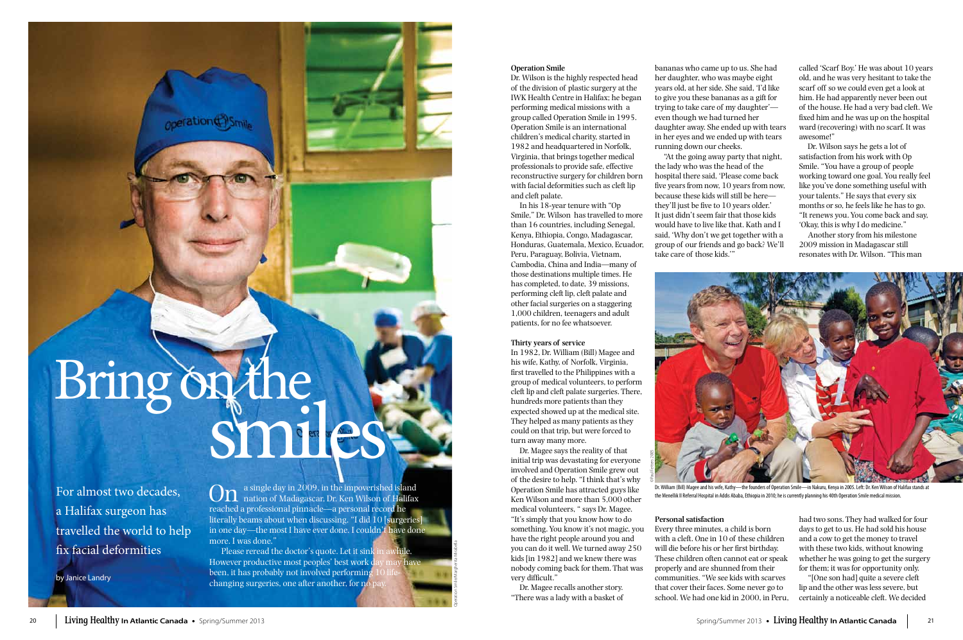## **Operation Smile**

Dr. Wilson is the highly respected head of the division of plastic surgery at the IWK Health Centre in Halifax; he began performing medical missions with a group called Operation Smile in 1995. Operation Smile is an international children's medical charity, started in 1982 and headquartered in Norfolk, Virginia, that brings together medical professionals to provide safe, effective reconstructive surgery for children born with facial deformities such as cleft lip and cleft palate.

In his 18-year tenure with "Op Smile," Dr. Wilson has travelled to more than 16 countries, including Senegal, Kenya, Ethiopia, Congo, Madagascar, Honduras, Guatemala, Mexico, Ecuador, Peru, Paraguay, Bolivia, Vietnam, Cambodia, China and India—many of those destinations multiple times. He has completed, to date, 39 missions, performing cleft lip, cleft palate and other facial surgeries on a staggering 1,000 children, teenagers and adult patients, for no fee whatsoever.

## **Thirty years of service**

In 1982, Dr. William (Bill) Magee and his wife, Kathy, of Norfolk, Virginia, first travelled to the Philippines with a group of medical volunteers, to perform cleft lip and cleft palate surgeries. There, hundreds more patients than they expected showed up at the medical site. They helped as many patients as they could on that trip, but were forced to turn away many more.

Dr. Magee says the reality of that initial trip was devastating for everyone involved and Operation Smile grew out of the desire to help. "I think that's why Operation Smile has attracted guys like Ken Wilson and more than 5,000 other medical volunteers, " says Dr. Magee. "It's simply that you know how to do something. You know it's not magic, you have the right people around you and you can do it well. We turned away 250 kids [in 1982] and we knew there was nobody coming back for them. That was very difficult."

Dr. Magee recalls another story. "There was a lady with a basket of

bananas who came up to us. She had her daughter, who was maybe eight years old, at her side. She said, 'I'd like to give you these bananas as a gift for trying to take care of my daughter' even though we had turned her daughter away. She ended up with tears in her eyes and we ended up with tears running down our cheeks.

a single day in 2009, in the impoverished island nation of Madagascar, Dr. Ken Wilson of Halifax reached a professional pinnacle—a personal record he literally beams about when discussing. "I did 10 [surgeries] in one day—the most I have ever done. I couldn't have done more. I was done."

Please reread the doctor's quote. Let it sink However productive most peoples' best work d been, it has probably not involved performing changing surgeries, one after another, for no

# Bring on the smiles

"At the going away party that night, the lady who was the head of the hospital there said, 'Please come back five years from now, 10 years from now, because these kids will still be here they'll just be five to 10 years older.' It just didn't seem fair that those kids would have to live like that. Kath and I said, 'Why don't we get together with a group of our friends and go back? We'll take care of those kids.'"

# **Personal satisfaction**

Every three minutes, a child is born with a cleft. One in 10 of these children will die before his or her first birthday. These children often cannot eat or speak properly and are shunned from their communities. "We see kids with scarves that cover their faces. Some never go to school. We had one kid in 2000, in Peru,

called 'Scarf Boy.' He was about 10 years old, and he was very hesitant to take the scarf off so we could even get a look at him. He had apparently never been out of the house. He had a very bad cleft. We fixed him and he was up on the hospital ward (recovering) with no scarf. It was awesome!"

Dr. Wilson says he gets a lot of satisfaction from his work with Op Smile. "You have a group of people working toward one goal. You really feel like you've done something useful with your talents." He says that every six months or so, he feels like he has to go. "It renews you. You come back and say, 'Okay, this is why I do medicine."

Another story from his milestone 2009 mission in Madagascar still resonates with Dr. Wilson. "This man

had two sons. They had walked for four days to get to us. He had sold his house and a cow to get the money to travel with these two kids, without knowing whether he was going to get the surgery for them; it was for opportunity only.

"[One son had] quite a severe cleft lip and the other was less severe, but certainly a noticeable cleft. We decided

For almost two decades, a Halifax surgeon has travelled the world to help fix facial deformities

by Janice Landry



Dr. William (Bill) Magee and his wife, Kathy—the founders of Operation Smile—in Nakuru, Kenya in 2005. Left: Dr. Ken Wilson of Halifax stands at the Menellik II Referral Hospital in Addis Ababa, Ethiopia in 2010; he is currently planning his 40th Operation Smile medical mission.

Operation Smile/Margherita Mirabella

©Paul Fetters 2005